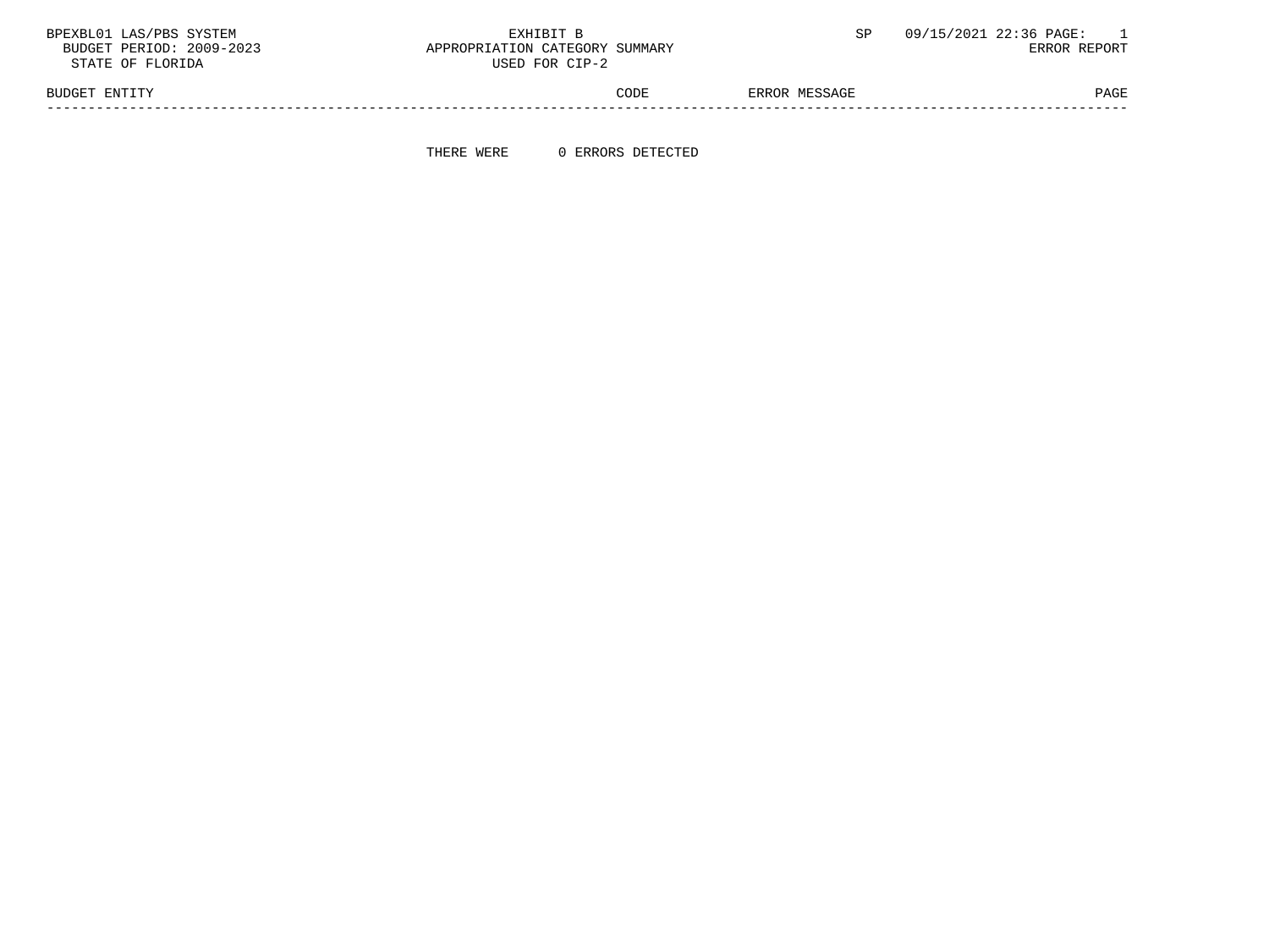BPEXBL01 LAS/PBS SYSTEM  $\,$  EXHIBIT B  $\,$  SP 09/15/2021 22:36 PAGE: 1  $\,$  BUDGET PERIOD: 2009-2023  $\,$  SP  $\,$  BUDGET PERIOD: 2009-2023  $\,$  SP  $\,$  BUDGET PERIOD: 2009-2023  $\,$   $\,$  BRROR REPORT

STATE OF FLORIDA

APPROPRIATION CATEGORY SUMMARY<br>USED FOR CIP-2

BUDGET ENTITY STATES AND RESOLUTION OF THE CODE SERROR MESSAGE SERIES ON THE PAGE PAGE -----------------------------------------------------------------------------------------------------------------------------------

THERE WERE 0 ERRORS DETECTED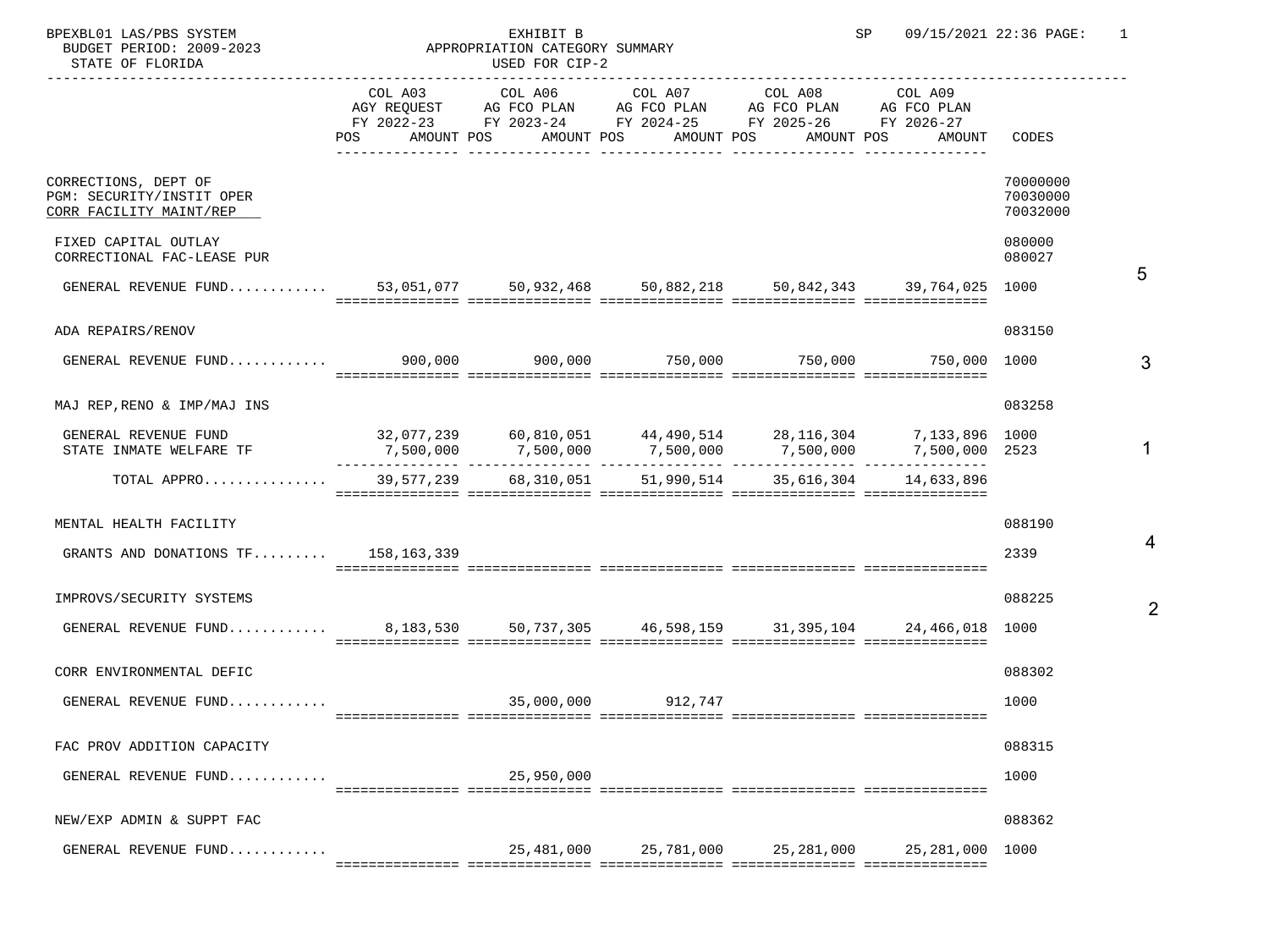| BPEXBL01 LAS/PBS SYSTEM<br>BUDGET PERIOD: 2009-2023<br>STATE OF FLORIDA          |                   | EXHIBIT B<br>APPROPRIATION CATEGORY SUMMARY<br>USED FOR CIP-2                                                                                          |                    |                       | SP                                                  | 09/15/2021 22:36 PAGE:           | 1 |
|----------------------------------------------------------------------------------|-------------------|--------------------------------------------------------------------------------------------------------------------------------------------------------|--------------------|-----------------------|-----------------------------------------------------|----------------------------------|---|
|                                                                                  | AMOUNT POS<br>POS | COL A03 COL A06 COL A07 COL A08 COL A09<br>AGY REQUEST AG FCO PLAN AG FCO PLAN AG FCO PLAN AG FCO PLAN AG FCO PLAN FY 2022-23 FY 2026-27<br>AMOUNT POS | AMOUNT POS         | AMOUNT POS            | AMOUNT                                              | CODES                            |   |
| CORRECTIONS, DEPT OF<br>PGM: SECURITY/INSTIT OPER<br>CORR FACILITY MAINT/REP     |                   |                                                                                                                                                        |                    |                       |                                                     | 70000000<br>70030000<br>70032000 |   |
| FIXED CAPITAL OUTLAY<br>CORRECTIONAL FAC-LEASE PUR                               |                   |                                                                                                                                                        |                    |                       |                                                     | 080000<br>080027                 |   |
| GENERAL REVENUE FUND 53,051,077 50,932,468 50,882,218 50,842,343 39,764,025 1000 |                   |                                                                                                                                                        |                    |                       |                                                     |                                  | 5 |
| ADA REPAIRS/RENOV                                                                |                   |                                                                                                                                                        |                    |                       |                                                     | 083150                           |   |
| GENERAL REVENUE FUND 900,000 900,000 900,000 750,000 750,000 750,000 1000        |                   |                                                                                                                                                        |                    |                       |                                                     |                                  | 3 |
| MAJ REP, RENO & IMP/MAJ INS                                                      |                   |                                                                                                                                                        |                    |                       |                                                     | 083258                           |   |
| GENERAL REVENUE FUND<br>STATE INMATE WELFARE TF                                  |                   | $32,077,239$ 60,810,051 44,490,514 28,116,304 7,133,896 1000<br>7,500,000    7,500,000    7,500,000    7,500,000    7,500,000 2523                     |                    |                       |                                                     |                                  |   |
| TOTAL APPRO                                                                      | 39,577,239        |                                                                                                                                                        |                    |                       | 68, 310, 051 51, 990, 514 35, 616, 304 14, 633, 896 |                                  |   |
| MENTAL HEALTH FACILITY                                                           |                   |                                                                                                                                                        |                    |                       |                                                     | 088190                           |   |
| GRANTS AND DONATIONS $TF$ 158,163,339                                            |                   |                                                                                                                                                        |                    |                       |                                                     | 2339                             |   |
| IMPROVS/SECURITY SYSTEMS                                                         |                   |                                                                                                                                                        |                    |                       |                                                     | 088225                           |   |
| GENERAL REVENUE FUND 8,183,530 50,737,305 46,598,159 31,395,104 24,466,018 1000  |                   |                                                                                                                                                        |                    |                       |                                                     |                                  |   |
| CORR ENVIRONMENTAL DEFIC                                                         |                   |                                                                                                                                                        |                    |                       |                                                     | 088302                           |   |
| GENERAL REVENUE FUND                                                             |                   |                                                                                                                                                        | 35,000,000 912,747 |                       |                                                     | 1000                             |   |
| FAC PROV ADDITION CAPACITY                                                       |                   |                                                                                                                                                        |                    |                       |                                                     | 088315                           |   |
| GENERAL REVENUE FUND                                                             |                   | 25,950,000                                                                                                                                             |                    |                       |                                                     | 1000                             |   |
| NEW/EXP ADMIN & SUPPT FAC                                                        |                   |                                                                                                                                                        |                    |                       |                                                     | 088362                           |   |
| GENERAL REVENUE FUND                                                             |                   | 25,481,000                                                                                                                                             |                    | 25,781,000 25,281,000 | 25,281,000 1000                                     |                                  |   |

4

2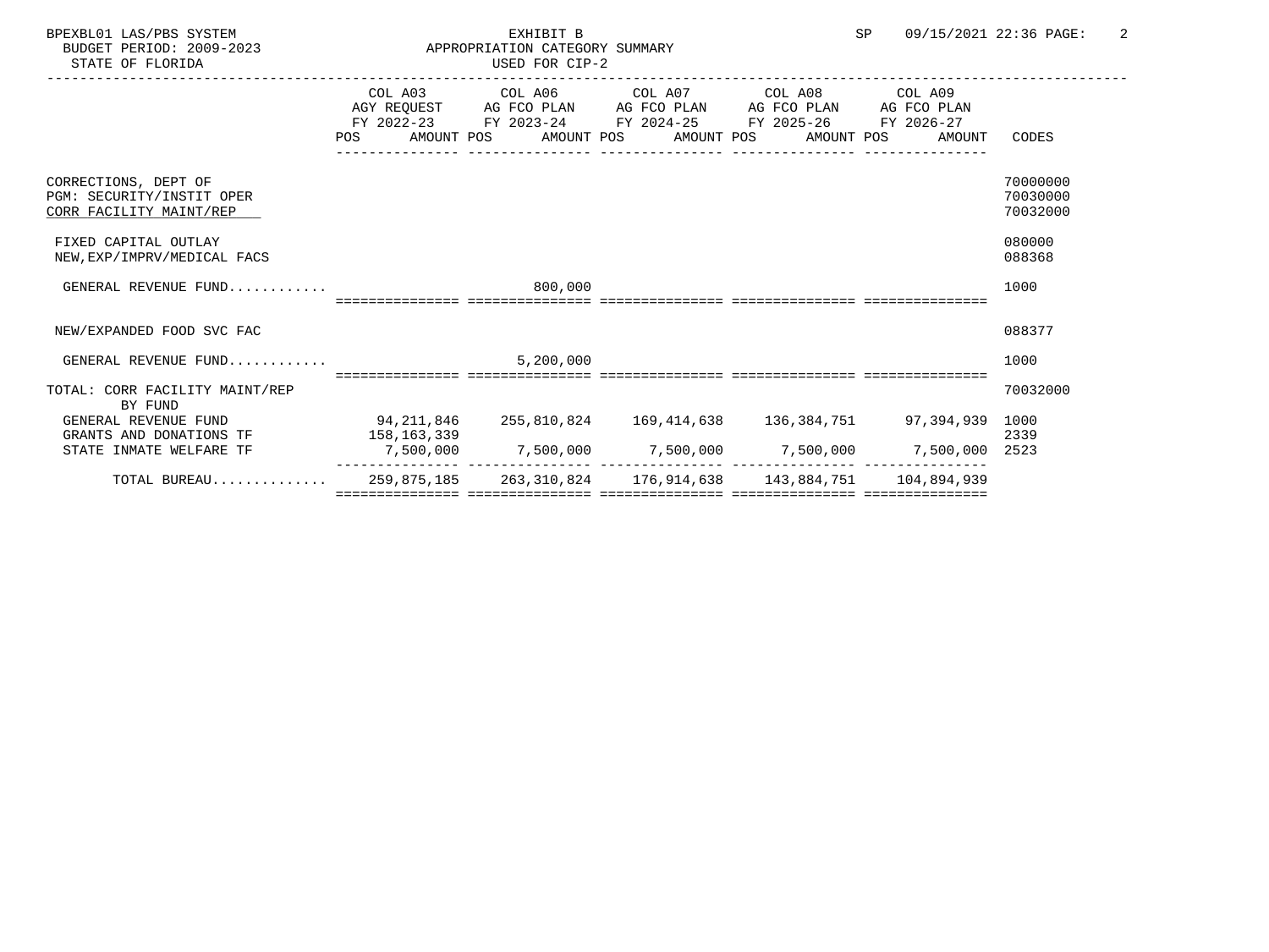| SP |  | 09/15/2021 22:36 PAGE: |  |
|----|--|------------------------|--|
|    |  |                        |  |

STATE OF FLORIDA

## BPEXBL01 LAS/PBS SYSTEM EXHIBIT B SP 09/15/2021 22:36 PAGE: 2 APPROPRIATION CATEGORY SUMMARY<br>USED FOR CIP-2

|                                                                          |            | COL A03 COL A06 COL A07 COL A08 COL A09<br>AGY REQUEST AG FCO PLAN AG FCO PLAN AG FCO PLAN AG FCO PLAN |  |        |                      |
|--------------------------------------------------------------------------|------------|--------------------------------------------------------------------------------------------------------|--|--------|----------------------|
|                                                                          | POS        | FY 2022-23 FY 2023-24 FY 2024-25 FY 2025-26 FY 2026-27<br>AMOUNT POS AMOUNT POS AMOUNT POS AMOUNT POS  |  | AMOUNT | CODES                |
| CORRECTIONS, DEPT OF                                                     |            |                                                                                                        |  |        | 70000000             |
| PGM: SECURITY/INSTIT OPER<br>CORR FACILITY MAINT/REP                     |            |                                                                                                        |  |        | 70030000<br>70032000 |
| FIXED CAPITAL OUTLAY<br>NEW, EXP/IMPRV/MEDICAL FACS                      |            |                                                                                                        |  |        | 080000<br>088368     |
| GENERAL REVENUE FUND                                                     |            | 800,000                                                                                                |  |        | 1000                 |
|                                                                          |            | :=======  ===============  ======                                                                      |  |        |                      |
| NEW/EXPANDED FOOD SVC FAC                                                |            |                                                                                                        |  |        | 088377               |
| GENERAL REVENUE FUND                                                     |            | 5,200,000                                                                                              |  |        | 1000                 |
| TOTAL: CORR FACILITY MAINT/REP<br>BY FUND                                |            |                                                                                                        |  |        | 70032000             |
| GENERAL REVENUE FUND                                                     | 94,211,846 |                                                                                                        |  |        |                      |
| GRANTS AND DONATIONS TF 158,163,339                                      |            |                                                                                                        |  |        | 2339                 |
| STATE INMATE WELFARE TF                                                  |            | 7,500,000    7,500,000    7,500,000    7,500,000    7,500,000 2523                                     |  |        |                      |
| TOTAL BUREAU 259,875,185 263,310,824 176,914,638 143,884,751 104,894,939 |            |                                                                                                        |  |        |                      |
|                                                                          |            |                                                                                                        |  |        |                      |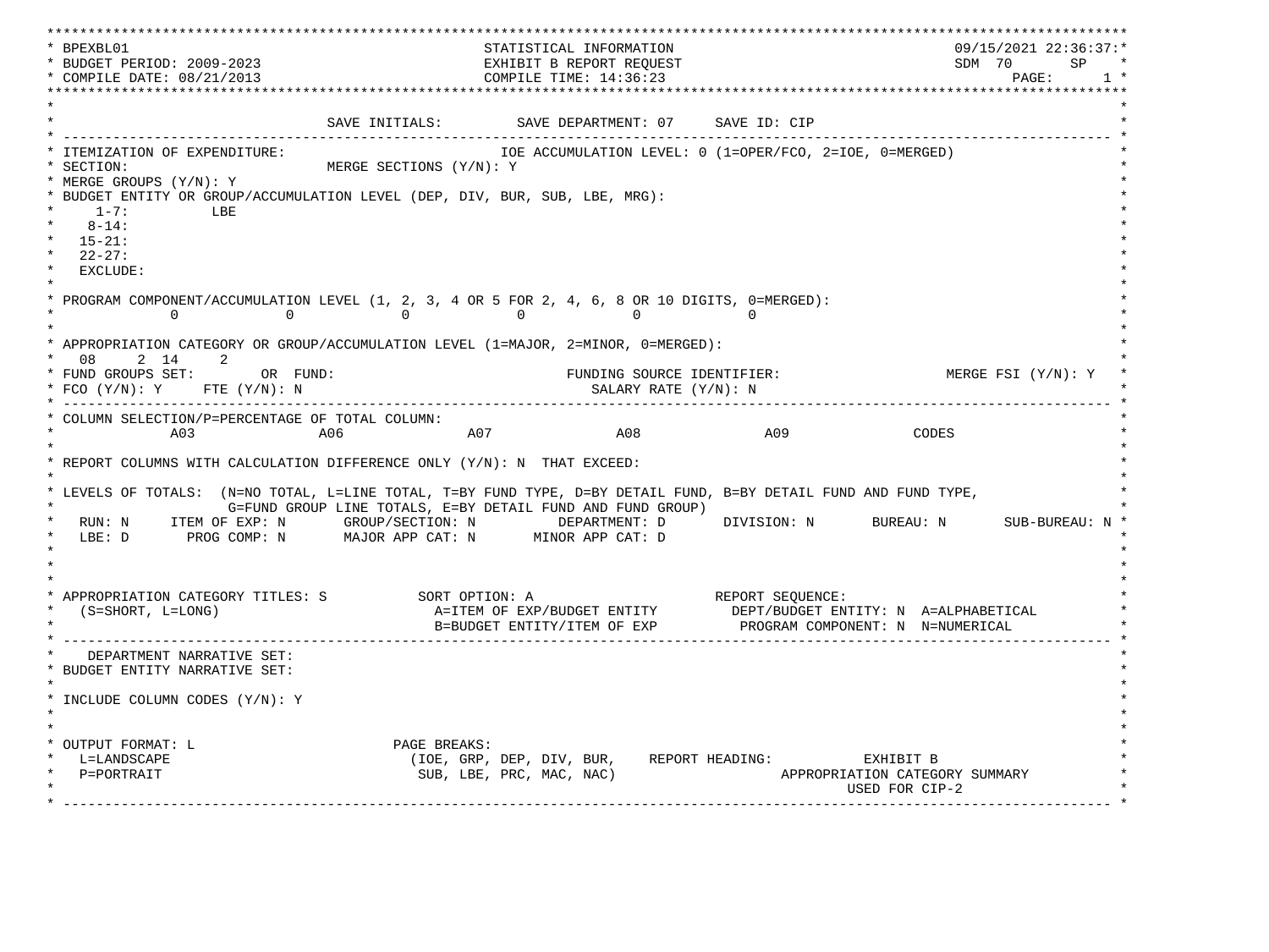\*\*\*\*\*\*\*\*\*\*\*\*\*\*\*\*\*\*\*\*\*\*\*\*\*\*\*\*\*\*\*\*\*\*\*\*\*\*\*\*\*\*\*\*\*\*\*\*\*\*\*\*\*\*\*\*\*\*\*\*\*\*\*\*\*\*\*\*\*\*\*\*\*\*\*\*\*\*\*\*\*\*\*\*\*\*\*\*\*\*\*\*\*\*\*\*\*\*\*\*\*\*\*\*\*\*\*\*\*\*\*\*\*\*\*\*\*\*\*\*\*\*\*\*\*\*\*\*\*\*\* \* BPEXBL01 STATISTICAL INFORMATION 09/15/2021 22:36:37:\* \* BUDGET PERIOD: 2009-2023 EXHIBIT B REPORT REQUEST SDM 70 SP \* \* COMPILE DATE: 08/21/2013 2000 COMPILE TIME: 14:36:23 \*\*\*\*\*\*\*\*\*\*\*\*\*\*\*\*\*\*\*\*\*\*\*\*\*\*\*\*\*\*\*\*\*\*\*\*\*\*\*\*\*\*\*\*\*\*\*\*\*\*\*\*\*\*\*\*\*\*\*\*\*\*\*\*\*\*\*\*\*\*\*\*\*\*\*\*\*\*\*\*\*\*\*\*\*\*\*\*\*\*\*\*\*\*\*\*\*\*\*\*\*\*\*\*\*\*\*\*\*\*\*\*\*\*\*\*\*\*\*\*\*\*\*\*\*\*\*\*\*\*\*  $\star$   $\star$ SAVE INITIALS: SAVE DEPARTMENT: 07 SAVE ID: CIP \* ------------------------------------------------------------------------------------------------------------------------------- \* \* ITEMIZATION OF EXPENDITURE: IOE ACCUMULATION LEVEL: 0 (1=OPER/FCO, 2=IOE, 0=MERGED) \* \* SECTION: MERGE SECTIONS (Y/N): Y \* \* MERGE GROUPS (Y/N): Y \* \* BUDGET ENTITY OR GROUP/ACCUMULATION LEVEL (DEP, DIV, BUR, SUB, LBE, MRG): \*  $*$  1-7: LBE  $*$  $*$  8-14:  $*$  \* 15-21: \* \* 22-27: \* \* EXCLUDE: \*  $\star$   $\star$ PROGRAM COMPONENT/ACCUMULATION LEVEL  $(1, 2, 3, 4$  OR 5 FOR  $2, 4, 6, 8$  OR 10 DIGITS, 0=MERGED):<br>0 0 0 0  $\begin{array}{ccccccc} & & & & 0 & & & & 0 & & & 0 & & & 0 & & & 0 \ & & & & & & 0 & & & & & 0 & & & & 0 \ \end{array}$  $\star$   $\star$  \* APPROPRIATION CATEGORY OR GROUP/ACCUMULATION LEVEL (1=MAJOR, 2=MINOR, 0=MERGED): \* \* 08 2 14 2 \* \* FUND GROUPS SET: OR FUND: THE SOURCE IDENTIFIER: THE MERGE FSI (Y/N): Y \* FCO (Y/N): Y FTE (Y/N): N SALARY RATE (Y/N): N \* \* ------------------------------------------------------------------------------------------------------------------------------- \* \* COLUMN SELECTION/P=PERCENTAGE OF TOTAL COLUMN: \* \* A03 A06 A07 A08 A09 CODES \*  $\star$   $\star$  \* REPORT COLUMNS WITH CALCULATION DIFFERENCE ONLY (Y/N): N THAT EXCEED: \* \* \* \* LEVELS OF TOTALS: (N=NO TOTAL, L=LINE TOTAL, T=BY FUND TYPE, D=BY DETAIL FUND, B=BY DETAIL FUND AND FUND TYPE, \* G=FUND GROUP LINE TOTALS, E=BY DETAIL FUND AND FUND GROUP) \* RUN: N ITEM OF EXP: N GROUP/SECTION: N DEPARTMENT: D DIVISION: N BUREAU: N SUB-BUREAU: N \* LBE: D PROG COMP: N MAJOR APP CAT: N MINOR APP CAT: D \* \*  $\star$   $\star$  $\star$   $\star$  \* APPROPRIATION CATEGORY TITLES: S SORT OPTION: A REPORT SEQUENCE: \* (S=SHORT, L=LONG)  $A=ITEM$  OF EXP/BUDGET ENTITY DEPT/BUDGET ENTITY: N A=ALPHABETICAL B=BUDGET ENTITY/ITEM OF EXP PROGRAM COMPONENT: N N=NUMERICAL \* ------------------------------------------------------------------------------------------------------------------------------- \* DEPARTMENT NARRATIVE SET: \* BUDGET ENTITY NARRATIVE SET: \*  $\star$   $\star$  \* INCLUDE COLUMN CODES (Y/N): Y \* \* \* \* \* \* OUTPUT FORMAT: L PAGE BREAKS:<br>
\* L=LANDSCAPE (IOE, GRP, \* L=LANDSCAPE (IOE, GRP, DEP, DIV, BUR, REPORT HEADING: EXHIBIT B \* APPROPRIATION CATEGORY SUMMARY USED FOR CIP-2  $\mathcal{L}^{\mathcal{L}}$